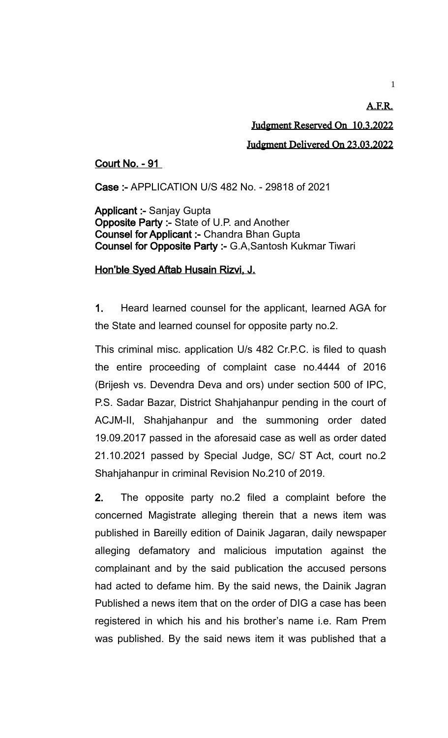## A.F.R. Judgment Reserved On 10.3.2022 Judgment Delivered On 23.03.2022

## Court No. - 91

Case :- APPLICATION U/S 482 No. - 29818 of 2021

Applicant :- Sanjay Gupta Opposite Party :- State of U.P. and Another Counsel for Applicant :- Chandra Bhan Gupta Counsel for Opposite Party :- G.A,Santosh Kukmar Tiwari

## Hon'ble Syed Aftab Husain Rizvi, J.

1. Heard learned counsel for the applicant, learned AGA for the State and learned counsel for opposite party no.2.

This criminal misc. application U/s 482 Cr.P.C. is filed to quash the entire proceeding of complaint case no.4444 of 2016 (Brijesh vs. Devendra Deva and ors) under section 500 of IPC, P.S. Sadar Bazar, District Shahjahanpur pending in the court of ACJM-II, Shahjahanpur and the summoning order dated 19.09.2017 passed in the aforesaid case as well as order dated 21.10.2021 passed by Special Judge, SC/ ST Act, court no.2 Shahjahanpur in criminal Revision No.210 of 2019.

2. The opposite party no.2 filed a complaint before the concerned Magistrate alleging therein that a news item was published in Bareilly edition of Dainik Jagaran, daily newspaper alleging defamatory and malicious imputation against the complainant and by the said publication the accused persons had acted to defame him. By the said news, the Dainik Jagran Published a news item that on the order of DIG a case has been registered in which his and his brother's name i.e. Ram Prem was published. By the said news item it was published that a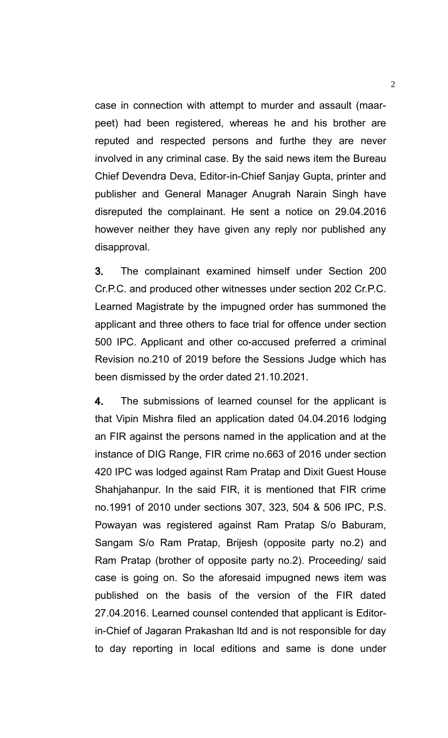case in connection with attempt to murder and assault (maarpeet) had been registered, whereas he and his brother are reputed and respected persons and furthe they are never involved in any criminal case. By the said news item the Bureau Chief Devendra Deva, Editor-in-Chief Sanjay Gupta, printer and publisher and General Manager Anugrah Narain Singh have disreputed the complainant. He sent a notice on 29.04.2016 however neither they have given any reply nor published any disapproval.

3. The complainant examined himself under Section 200 Cr.P.C. and produced other witnesses under section 202 Cr.P.C. Learned Magistrate by the impugned order has summoned the applicant and three others to face trial for offence under section 500 IPC. Applicant and other co-accused preferred a criminal Revision no.210 of 2019 before the Sessions Judge which has been dismissed by the order dated 21.10.2021.

4. The submissions of learned counsel for the applicant is that Vipin Mishra filed an application dated 04.04.2016 lodging an FIR against the persons named in the application and at the instance of DIG Range, FIR crime no.663 of 2016 under section 420 IPC was lodged against Ram Pratap and Dixit Guest House Shahjahanpur. In the said FIR, it is mentioned that FIR crime no.1991 of 2010 under sections 307, 323, 504 & 506 IPC, P.S. Powayan was registered against Ram Pratap S/o Baburam, Sangam S/o Ram Pratap, Brijesh (opposite party no.2) and Ram Pratap (brother of opposite party no.2). Proceeding/ said case is going on. So the aforesaid impugned news item was published on the basis of the version of the FIR dated 27.04.2016. Learned counsel contended that applicant is Editorin-Chief of Jagaran Prakashan ltd and is not responsible for day to day reporting in local editions and same is done under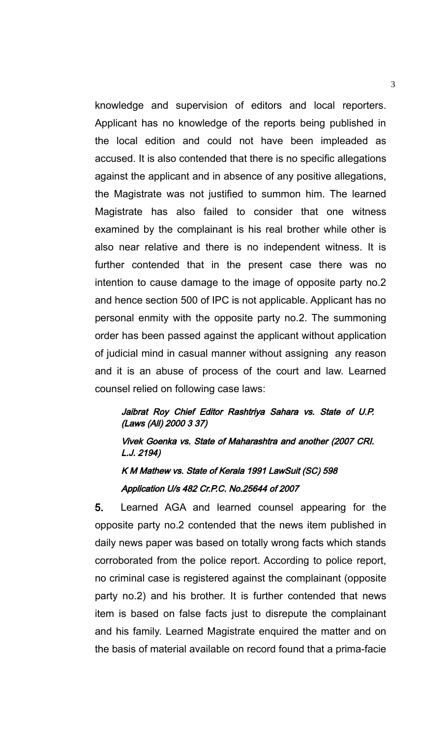knowledge and supervision of editors and local reporters. Applicant has no knowledge of the reports being published in the local edition and could not have been impleaded as accused. It is also contended that there is no specific allegations against the applicant and in absence of any positive allegations, the Magistrate was not justified to summon him. The learned Magistrate has also failed to consider that one witness examined by the complainant is his real brother while other is also near relative and there is no independent witness. It is further contended that in the present case there was no intention to cause damage to the image of opposite party no.2 and hence section 500 of IPC is not applicable. Applicant has no personal enmity with the opposite party no.2. The summoning order has been passed against the applicant without application of judicial mind in casual manner without assigning any reason and it is an abuse of process of the court and law. Learned counsel relied on following case laws:

## Jaibrat Roy Chief Editor Rashtriya Sahara vs. State of U.P. (Laws (All) 2000 3 37)

Vivek Goenka vs. State of Maharashtra and another (2007 CRI. L.J. 2194)

K M Mathew vs. State of Kerala 1991 LawSuit (SC) 598 Application U/s 482 Cr.P.C. No.25644 of 2007

5. Learned AGA and learned counsel appearing for the opposite party no.2 contended that the news item published in daily news paper was based on totally wrong facts which stands corroborated from the police report. According to police report, no criminal case is registered against the complainant (opposite party no.2) and his brother. It is further contended that news item is based on false facts just to disrepute the complainant and his family. Learned Magistrate enquired the matter and on the basis of material available on record found that a prima-facie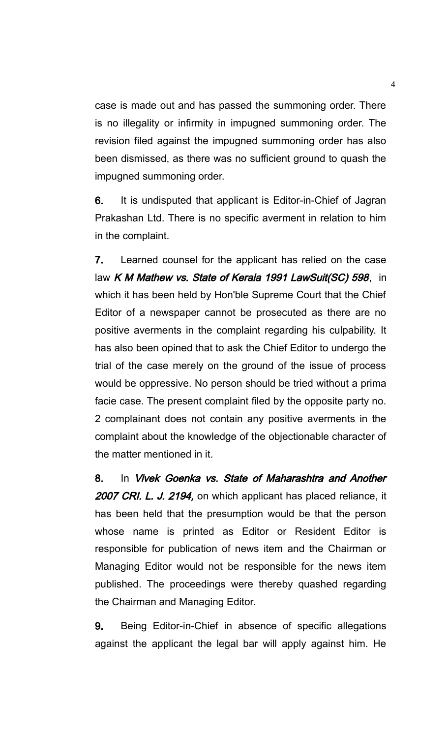case is made out and has passed the summoning order. There is no illegality or infirmity in impugned summoning order. The revision filed against the impugned summoning order has also been dismissed, as there was no sufficient ground to quash the impugned summoning order.

6. It is undisputed that applicant is Editor-in-Chief of Jagran Prakashan Ltd. There is no specific averment in relation to him in the complaint.

7. Learned counsel for the applicant has relied on the case law K M Mathew vs. State of Kerala 1991 LawSuit(SC) 598, in which it has been held by Hon'ble Supreme Court that the Chief Editor of a newspaper cannot be prosecuted as there are no positive averments in the complaint regarding his culpability. It has also been opined that to ask the Chief Editor to undergo the trial of the case merely on the ground of the issue of process would be oppressive. No person should be tried without a prima facie case. The present complaint filed by the opposite party no. 2 complainant does not contain any positive averments in the complaint about the knowledge of the objectionable character of the matter mentioned in it.

8. In Vivek Goenka vs. State of Maharashtra and Another 2007 CRI. L. J. 2194, on which applicant has placed reliance, it has been held that the presumption would be that the person whose name is printed as Editor or Resident Editor is responsible for publication of news item and the Chairman or Managing Editor would not be responsible for the news item published. The proceedings were thereby quashed regarding the Chairman and Managing Editor.

9. Being Editor-in-Chief in absence of specific allegations against the applicant the legal bar will apply against him. He